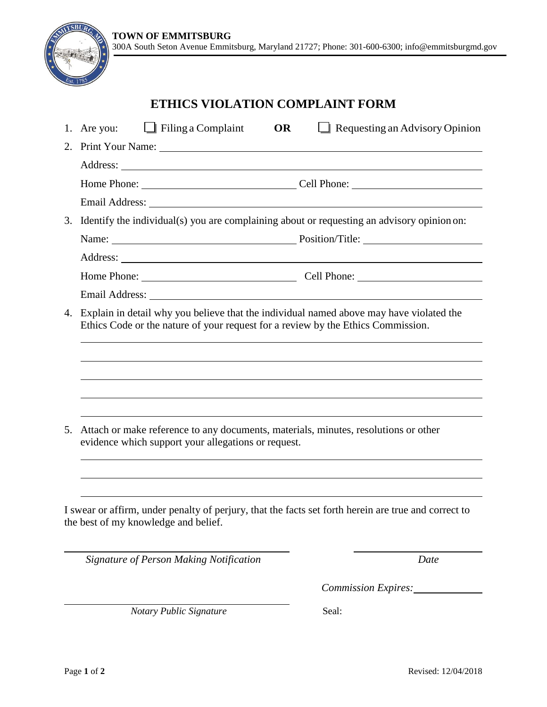## **ETHICS VIOLATION COMPLAINT FORM**

|                                                                                                                                                                                                                                | $\Box$ Filing a Complaint<br>Requesting an Advisory Opinion<br>1. Are you:<br><b>OR</b>                                                                                                                                        |  |  |  |  |
|--------------------------------------------------------------------------------------------------------------------------------------------------------------------------------------------------------------------------------|--------------------------------------------------------------------------------------------------------------------------------------------------------------------------------------------------------------------------------|--|--|--|--|
| 2.                                                                                                                                                                                                                             | Print Your Name: 1988 and 1988 and 1988 and 1988 and 1988 and 1988 and 1988 and 1988 and 1988 and 1988 and 1988 and 1988 and 1988 and 1988 and 1988 and 1988 and 1988 and 1988 and 1988 and 1988 and 1988 and 1988 and 1988 an |  |  |  |  |
|                                                                                                                                                                                                                                |                                                                                                                                                                                                                                |  |  |  |  |
|                                                                                                                                                                                                                                |                                                                                                                                                                                                                                |  |  |  |  |
| Email Address: No. 2014 19:30 and 2014 19:30 and 20:30 and 20:30 and 20:30 and 20:30 and 20:30 and 20:30 and 20:30 and 20:30 and 20:30 and 20:30 and 20:30 and 20:30 and 20:30 and 20:30 and 20:30 and 20:30 and 20:30 and 20: |                                                                                                                                                                                                                                |  |  |  |  |
| Identify the individual(s) you are complaining about or requesting an advisory opinion on:<br>3.                                                                                                                               |                                                                                                                                                                                                                                |  |  |  |  |
|                                                                                                                                                                                                                                | Name: Name: Name: Name: Name: Name: Name: Name: Name: Name: Name: Name: Name: Name: Name: Name: Name: Name: Name: Name: Name: Name: Name: Name: Name: Name: Name: Name: Name: Name: Name: Name: Name: Name: Name: Name: Name:  |  |  |  |  |
|                                                                                                                                                                                                                                |                                                                                                                                                                                                                                |  |  |  |  |
|                                                                                                                                                                                                                                |                                                                                                                                                                                                                                |  |  |  |  |
|                                                                                                                                                                                                                                |                                                                                                                                                                                                                                |  |  |  |  |
| 4.                                                                                                                                                                                                                             | Explain in detail why you believe that the individual named above may have violated the<br>Ethics Code or the nature of your request for a review by the Ethics Commission.                                                    |  |  |  |  |
|                                                                                                                                                                                                                                |                                                                                                                                                                                                                                |  |  |  |  |
|                                                                                                                                                                                                                                |                                                                                                                                                                                                                                |  |  |  |  |
|                                                                                                                                                                                                                                |                                                                                                                                                                                                                                |  |  |  |  |
|                                                                                                                                                                                                                                |                                                                                                                                                                                                                                |  |  |  |  |
| Attach or make reference to any documents, materials, minutes, resolutions or other<br>5.<br>evidence which support your allegations or request.                                                                               |                                                                                                                                                                                                                                |  |  |  |  |
|                                                                                                                                                                                                                                |                                                                                                                                                                                                                                |  |  |  |  |
|                                                                                                                                                                                                                                |                                                                                                                                                                                                                                |  |  |  |  |
|                                                                                                                                                                                                                                | I swear or affirm, under penalty of perjury, that the facts set forth herein are true and correct to<br>the best of my knowledge and belief.                                                                                   |  |  |  |  |
|                                                                                                                                                                                                                                | Signature of Person Making Notification<br>Date                                                                                                                                                                                |  |  |  |  |

*Notary Public Signature* Seal:

*Commission Expires:*

 $\overline{\bf s}$ BI.